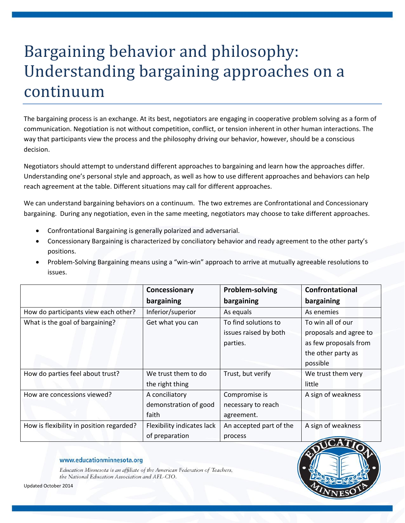# Bargaining behavior and philosophy: Understanding bargaining approaches on a continuum

The bargaining process is an exchange. At its best, negotiators are engaging in cooperative problem solving as a form of communication. Negotiation is not without competition, conflict, or tension inherent in other human interactions. The way that participants view the process and the philosophy driving our behavior, however, should be a conscious decision.

Negotiators should attempt to understand different approaches to bargaining and learn how the approaches differ. Understanding one's personal style and approach, as well as how to use different approaches and behaviors can help reach agreement at the table. Different situations may call for different approaches.

We can understand bargaining behaviors on a continuum. The two extremes are Confrontational and Concessionary bargaining. During any negotiation, even in the same meeting, negotiators may choose to take different approaches.

- Confrontational Bargaining is generally polarized and adversarial.
- Concessionary Bargaining is characterized by conciliatory behavior and ready agreement to the other party's positions.
- Problem-Solving Bargaining means using a "win-win" approach to arrive at mutually agreeable resolutions to issues.

|                                          | Concessionary              | Problem-solving         | <b>Confrontational</b> |
|------------------------------------------|----------------------------|-------------------------|------------------------|
|                                          | bargaining                 | bargaining              | bargaining             |
| How do participants view each other?     | Inferior/superior          | As equals               | As enemies             |
| What is the goal of bargaining?          | Get what you can           | To find solutions to    | To win all of our      |
|                                          |                            | issues raised by both   | proposals and agree to |
|                                          |                            | parties.                | as few proposals from  |
|                                          |                            |                         | the other party as     |
|                                          |                            |                         | possible               |
| How do parties feel about trust?         | We trust them to do        | Trust, but verify       | We trust them very     |
|                                          | the right thing            |                         | little                 |
| How are concessions viewed?              | A conciliatory             | Compromise is           | A sign of weakness     |
|                                          | demonstration of good      | necessary to reach      |                        |
|                                          | faith                      | agreement.              |                        |
| How is flexibility in position regarded? | Flexibility indicates lack | An accepted part of the | A sign of weakness     |
|                                          | of preparation             | process                 |                        |

#### www.educationminnesota.org

Education Minnesota is an affiliate of the American Federation of Teachers, the National Education Association and AFL-CIO.



Updated October 2014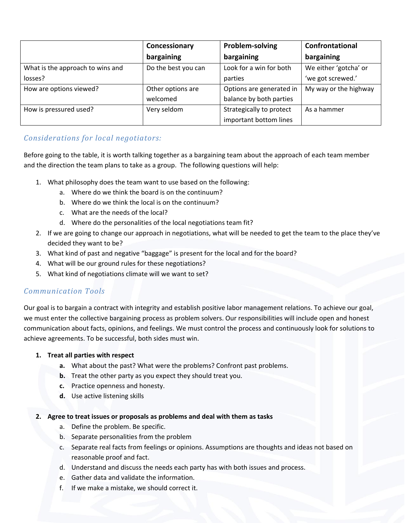|                                  | Concessionary       | Problem-solving          | Confrontational       |
|----------------------------------|---------------------|--------------------------|-----------------------|
|                                  | bargaining          | bargaining               | bargaining            |
| What is the approach to wins and | Do the best you can | Look for a win for both  | We either 'gotcha' or |
| losses?                          |                     | parties                  | 'we got screwed.'     |
| How are options viewed?          | Other options are   | Options are generated in | My way or the highway |
|                                  | welcomed            | balance by both parties  |                       |
| How is pressured used?           | Very seldom         | Strategically to protect | As a hammer           |
|                                  |                     | important bottom lines   |                       |

## *Considerations for local negotiators:*

Before going to the table, it is worth talking together as a bargaining team about the approach of each team member and the direction the team plans to take as a group. The following questions will help:

- 1. What philosophy does the team want to use based on the following:
	- a. Where do we think the board is on the continuum?
	- b. Where do we think the local is on the continuum?
	- c. What are the needs of the local?
	- d. Where do the personalities of the local negotiations team fit?
- 2. If we are going to change our approach in negotiations, what will be needed to get the team to the place they've decided they want to be?
- 3. What kind of past and negative "baggage" is present for the local and for the board?
- 4. What will be our ground rules for these negotiations?
- 5. What kind of negotiations climate will we want to set?

## *Communication Tools*

Our goal is to bargain a contract with integrity and establish positive labor management relations. To achieve our goal, we must enter the collective bargaining process as problem solvers. Our responsibilities will include open and honest communication about facts, opinions, and feelings. We must control the process and continuously look for solutions to achieve agreements. To be successful, both sides must win.

#### **1. Treat all parties with respect**

- **a.** What about the past? What were the problems? Confront past problems.
- **b.** Treat the other party as you expect they should treat you.
- **c.** Practice openness and honesty.
- **d.** Use active listening skills

#### **2. Agree to treat issues or proposals as problems and deal with them as tasks**

- a. Define the problem. Be specific.
- b. Separate personalities from the problem
- c. Separate real facts from feelings or opinions. Assumptions are thoughts and ideas not based on reasonable proof and fact.
- d. Understand and discuss the needs each party has with both issues and process.
- e. Gather data and validate the information.
- f. If we make a mistake, we should correct it.